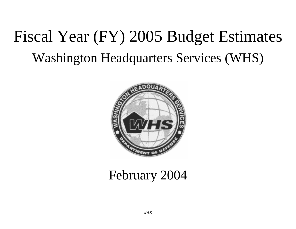# Fiscal Year (FY) 2005 Budget Estimates Washington Headquarters Services (WHS)



## February 2004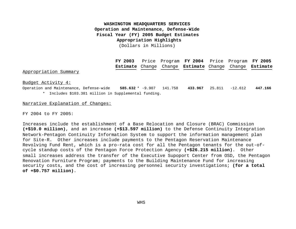#### **Fiscal Year (FY) 2005 Budget Estimates Appropriation Highlights WASHINGTON HEADQUARTERS SERVICES Operation and Maintenance, Defense-Wide** (Dollars in Millions)

**FY 2003** Price Program **FY 2004** Price Program **FY 2005 Estimate** Change Change **Estimate** Change Change **Estimate**

#### Appropriation Summary

Budget Activity 4:

Operation and Maintenance, Defense-wide **585.632** \* -9.907 141.758 **433.967** 25.811 -12.612 **447.166** \* Includes \$103.381 million in Supplemental funding.

#### Narrative Explanation of Changes:

FY 2004 to FY 2005:

Increases include the establishment of a Base Relocation and Closure (BRAC) Commission **(+\$10.0 million)**, and an increase **(+\$13.597 million)** to the Defense Continuity Integration Network-Pentagon Continuity Information System to support the information management plan for Site-R. Other increases include payments to the Pentagon Reservation Maintenance Revolving Fund Rent, which is a pro-rata cost for all the Pentagon tenants for the out-ofcycle standup costs of the Pentagon Force Protection Agency **(+\$26.215 million)**. Other small increases address the transfer of the Executive Supoport Center from OSD, the Pentagon Renovation Furniture Program; payments to the Building Maintenance Fund for increasing security costs, and the cost of increasing personnel security investigations; **(for a total of +\$0.757 million)**.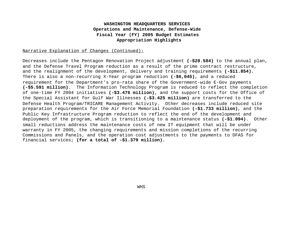#### **Fiscal Year (FY) 2005 Budget Estimates Appropriation Highlights WASHINGTON HEADQUARTERS SERVICES Operations and Maintenance, Defense-Wide**

#### Narrative Explanation of Changes (Continued):

Decreases include the Pentagon Renovation Project adjustment **(-\$28.584)** to the annual plan, and the Defense Travel Program reduction as a result of the prime contract restructure, and the realignment of the development, delivery and training requirements **(-\$11.854).** There is also a non-recurring X-Year program reduction **(-\$6,045)**, and a reduced requirement for the Department's pro-rata share of the Government-wide E-Gov payments **(-\$5.591 million)**. The Information Technology Program is reduced to reflect the completion of one-time FY 2004 initiatives **(-\$3.476 million)**, and the support costs for the Office of the Special Assistant for Gulf War Illnesses **(-\$3.425 million)** are transferred to the Defense Health Program/TRICARE Management Activity. Other decreases include reduced site preparation requirements for the Air Force Memorial Foundation **(-\$1.733 million)**, and the Public Key Infrastructure Program reduction to reflect the end of the development and deployment of the program, which is transitioning to a maintenance status **(-\$1.094)**. Other small reductions address the maintenance costs of new IT equipment that will be under warranty in FY 2005, the changing requirements and mission completions of the recurring Commissions and Panels, and the operation cost adjustments to the payments to DFAS for financial services; **(for a total of -\$1.379 million)**.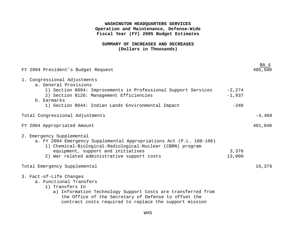#### **SUMMARY OF INCREASES AND DECREASES (Dollars in Thousands)**

| FY 2004 President's Budget Request                                                                                                                                                                                                                      |                       | BA 4     |
|---------------------------------------------------------------------------------------------------------------------------------------------------------------------------------------------------------------------------------------------------------|-----------------------|----------|
| 1. Congressional Adjustments<br>a. General Provisions<br>1) Section 8094: Improvements in Professional Support Services<br>2) Section 8126: Management Efficiencies<br>b. Earmarks                                                                      | $-2, 274$<br>$-1,937$ |          |
| 1) Section 8044: Indian Lands Environmental Impact                                                                                                                                                                                                      | $-249$                |          |
| Total Congressional Adjustments                                                                                                                                                                                                                         |                       | $-4,460$ |
| FY 2004 Appropriated Amount                                                                                                                                                                                                                             |                       | 401,040  |
| 2. Emergency Supplemental<br>a. FY 2004 Emergency Supplemental Appropriations Act (P.L. 108-106)<br>1) Chemical-Biological-Radiological-Nuclear (CBRN) program<br>equipment, support and initiatives<br>2) War related administrative support costs     | 3,376<br>13,000       |          |
| Total Emergency Supplemental                                                                                                                                                                                                                            |                       | 16,376   |
| 3. Fact-of-Life Changes<br>a. Functional Transfers<br>1) Transfers In<br>a) Information Technology Support Costs are transferred from<br>the Office of the Secretary of Defense to offset the<br>contract costs required to replace the support mission |                       |          |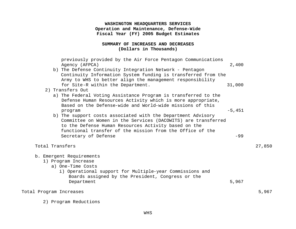#### **SUMMARY OF INCREASES AND DECREASES (Dollars in Thousands)**

| Total Program Increases  |                                                                                                                                                                                                                                                                            |          | 5,967  |
|--------------------------|----------------------------------------------------------------------------------------------------------------------------------------------------------------------------------------------------------------------------------------------------------------------------|----------|--------|
| b. Emergent Requirements | 1) Program Increase<br>a) One-Time Costs<br>i) Operational support for Multiple-year Commissions and<br>Boards assigned by the President, Congress or the<br>Department                                                                                                    | 5,967    |        |
| Total Transfers          |                                                                                                                                                                                                                                                                            |          | 27,850 |
|                          | b) The support costs associated with the Department Advisory<br>Committee on Women in the Services (DACOWITS) are transferred<br>to the Defense Human Resources Activity based on the<br>functional transfer of the mission from the Office of the<br>Secretary of Defense | $-99$    |        |
|                          | a) The Federal Voting Assistance Program is transferred to the<br>Defense Human Resources Activity which is more appropriate,<br>Based on the Defense-wide and World-wide missions of this<br>program                                                                      | $-5,451$ |        |
| 2) Transfers Out         | Continuity Information System funding is transferred from the<br>Army to WHS to better align the management responsibility<br>for Site-R within the Department.                                                                                                            | 31,000   |        |
|                          | previously provided by the Air Force Pentagon Communications<br>Agency (AFPCA)<br>b) The Defense Continuity Integration Network - Pentagon                                                                                                                                 | 2,400    |        |

2) Program Reductions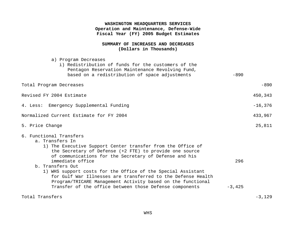#### **SUMMARY OF INCREASES AND DECREASES (Dollars in Thousands)**

| a) Program Decreases<br>i) Redistribution of funds for the customers of the<br>Pentagon Reservation Maintenance Revolving Fund,<br>based on a redistribution of space adjustments                                                                                                                                                                                                                                                                                                                                                | $-890$          |           |
|----------------------------------------------------------------------------------------------------------------------------------------------------------------------------------------------------------------------------------------------------------------------------------------------------------------------------------------------------------------------------------------------------------------------------------------------------------------------------------------------------------------------------------|-----------------|-----------|
| Total Program Decreases                                                                                                                                                                                                                                                                                                                                                                                                                                                                                                          |                 | $-890$    |
| Revised FY 2004 Estimate                                                                                                                                                                                                                                                                                                                                                                                                                                                                                                         |                 | 450,343   |
| 4. Less: Emergency Supplemental Funding                                                                                                                                                                                                                                                                                                                                                                                                                                                                                          |                 | $-16,376$ |
| Normalized Current Estimate for FY 2004                                                                                                                                                                                                                                                                                                                                                                                                                                                                                          |                 | 433,967   |
| 5. Price Change                                                                                                                                                                                                                                                                                                                                                                                                                                                                                                                  |                 | 25,811    |
| 6. Functional Transfers<br>a. Transfers In<br>1) The Executive Support Center transfer from the Office of<br>the Secretary of Defense (+2 FTE) to provide one source<br>of communications for the Secretary of Defense and his<br>immediate office<br>b. Transfers Out<br>1) WHS support costs for the Office of the Special Assistant<br>for Gulf War Illnesses are transferred to the Defense Health<br>Program/TRICARE Management Activity based on the functional<br>Transfer of the office between those Defense components | 296<br>$-3,425$ |           |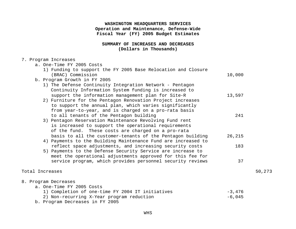#### **SUMMARY OF INCREASES AND DECREASES (Dollars in Thousands)**

#### 7. Program Increases

| a. One-Time FY 2005 Costs                                     |          |        |
|---------------------------------------------------------------|----------|--------|
| 1) Funding to support the FY 2005 Base Relocation and Closure |          |        |
| (BRAC) Commission                                             | 10,000   |        |
| b. Program Growth in FY 2005                                  |          |        |
| 1) The Defense Continuity Integration Network - Pentagon      |          |        |
| Continuity Information System funding is increased to         |          |        |
| support the information management plan for Site-R            | 13,597   |        |
| 2) Furniture for the Pentagon Renovation Project increases    |          |        |
| to support the annual plan, which varies significantly        |          |        |
| from year-to-year, and is charged on a pro-rata basis         |          |        |
| to all tenants of the Pentagon building                       | 241      |        |
| 3) Pentagon Reservation Maintenance Revolving Fund rent       |          |        |
| is increased to support the operational requirements          |          |        |
| of the fund. These costs are charged on a pro-rata            |          |        |
| basis to all the customer-tenants of the Pentagon building    | 26,215   |        |
| 4) Payments to the Building Maintenance Fund are increased to |          |        |
| reflect space adjustments, and increasing security costs      | 183      |        |
| 5) Payments to the Defense Security Service are increase to   |          |        |
| meet the operational adjustments approved for this fee for    |          |        |
| service program, which provides personnel security reviews    | 37       |        |
| Total Increases                                               |          | 50,273 |
|                                                               |          |        |
| 8. Program Decreases                                          |          |        |
| a. One-Time FY 2005 Costs                                     |          |        |
| 1) Completion of one-time FY 2004 IT initiatives              | $-3,476$ |        |
| 2) Non-recurring X-Year program reduction                     | $-6,045$ |        |
| b. Program Decreases in FY 2005                               |          |        |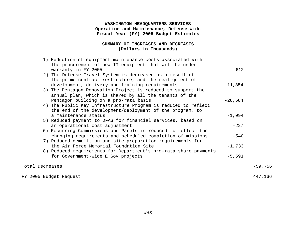#### **SUMMARY OF INCREASES AND DECREASES (Dollars in Thousands)**

| $-59,756$ |
|-----------|
| 447,166   |
|           |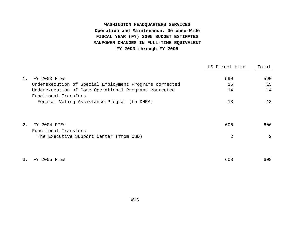## **WASHINGTON HEADQUARTERS SERVICES Operation and Maintenance, Defense-Wide FISCAL YEAR (FY) 2005 BUDGET ESTIMATES MANPOWER CHANGES IN FULL-TIME EQUIVALENT FY 2003 through FY 2005**

|       |                                                                               | US Direct Hire | Total          |
|-------|-------------------------------------------------------------------------------|----------------|----------------|
| $1$ . | FY 2003 FTES                                                                  | 590            | 590            |
|       | Underexecution of Special Employment Programs corrected                       | 15             | 15             |
|       | Underexecution of Core Operational Programs corrected<br>Functional Transfers | 14             | 14             |
|       | Federal Voting Assistance Program (to DHRA)                                   | $-13$          | $-13$          |
| 2.    | FY 2004 FTES                                                                  | 606            | 606            |
|       | Functional Transfers<br>The Executive Support Center (from OSD)               | 2              | $\overline{2}$ |
|       |                                                                               |                |                |
| 3.    | FTES<br>2005.                                                                 | 608            | 608            |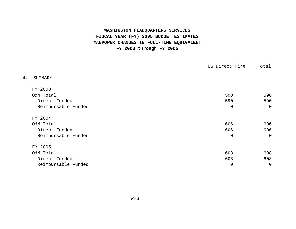## **WASHINGTON HEADQUARTERS SERVICES FISCAL YEAR (FY) 2005 BUDGET ESTIMATES MANPOWER CHANGES IN FULL-TIME EQUIVALENT FY 2003 through FY 2005**

|                     | US Direct Hire | Total        |
|---------------------|----------------|--------------|
| 4.<br>SUMMARY       |                |              |
| FY 2003             |                |              |
| O&M Total           | 590            | 590          |
| Direct Funded       | 590            | 590          |
| Reimbursable Funded | $\mathbf 0$    | $\mathbf 0$  |
| FY 2004             |                |              |
| O&M Total           | 606            | 606          |
| Direct Funded       | 606            | 606          |
| Reimbursable Funded | $\mathbf 0$    | $\mathsf{O}$ |
| FY 2005             |                |              |
| O&M Total           | 608            | 608          |
| Direct Funded       | 608            | 608          |
| Reimbursable Funded | 0              | 0            |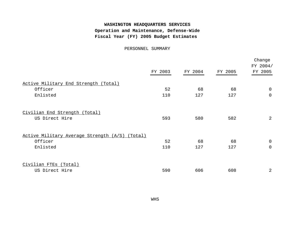PERSONNEL SUMMARY

|                                                          | FY 2003 | FY 2004 | FY 2005 | Change<br>FY 2004/<br>FY 2005 |
|----------------------------------------------------------|---------|---------|---------|-------------------------------|
| Active Military End Strength (Total)                     |         |         |         |                               |
| Officer                                                  | 52      | 68      | 68      | 0                             |
| Enlisted                                                 | 110     | 127     | 127     | 0                             |
| Civilian End Strength (Total)<br>US Direct Hire          | 593     | 580     | 582     | 2                             |
|                                                          |         |         |         |                               |
| Active Military Average Strength (A/S)<br><u>(Total)</u> |         |         |         |                               |
| Officer                                                  | 52      | 68      | 68      | $\mathbf 0$                   |
| Enlisted                                                 | 110     | 127     | 127     | 0                             |
| Civilian FTEs (Total)                                    |         |         |         |                               |
| US Direct Hire                                           | 590     | 606     | 608     | 2                             |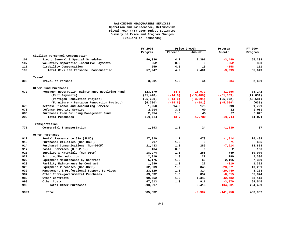#### **WASHINGTON HEADQUARTERS SERVICES Operation and Maintenance, Defensewide Fiscal Year (FY) 2005 Budget Estimates Summary of Price and Program Changes (Dollars in Thousands)**

|      |                                                 | FY 2003   |           | Price Growth | Program        | FY 2004   |
|------|-------------------------------------------------|-----------|-----------|--------------|----------------|-----------|
|      |                                                 | Program   | Percent   | Amount       | Growth         | Program   |
|      | Civilian Personnel Compensation                 |           |           |              |                |           |
| 101  | Exec., General & Special Schedules              | 56,336    | 4.2       | 2,391        | $-3,489$       | 55,238    |
| 107  | Voluntary Separation Incentive Payments         | 652       | 0.0       | 0            | $-352$         | 300       |
| 111  | Disability Compensation                         | 259       | 4.0       | 10           | $-158$         | 111       |
| 199  | Total Civilian Personnel Compensation           | 57,247    | 4.2       | 2,401        | $-3,999$       | 55,649    |
|      | Travel                                          |           |           |              |                |           |
| 308  | Travel of Persons                               | 3,301     | 1.3       | 44           | $-684$         | 2,661     |
|      | Other Fund Purchases                            |           |           |              |                |           |
| 672  | Pentagon Reservation Maintenance Revolving Fund | 123,370   | $-14.6$   | $-18,072$    | $-31,056$      | 74,242    |
|      | (Rent Payments)                                 | (91, 470) | $(-14.6)$ | $(-13, 400)$ | $(-51, 039)$   | (27, 031) |
|      | (Pentagon Renovation Project)                   | (25, 200) | $(-14.6)$ | $(-3, 691)$  | (25,072)       | (46, 581) |
|      | (Furniture - Pentagon Renovation Project)       | (6, 700)  | $(-14.6)$ | $(-981)$     | $(-5,089)$     | (630)     |
| 673  | Defense Finance and Accounting Service          | 1,250     | 14.2      | 178          | 293            | 1,721     |
| 678  | Defense Security Service                        | 2,000     | 3.0       | 60           | 22             | 2,082     |
| 680  | Purchases from Building Management Fund         | 2,954     | 1.5       | 45           | 27             | 3,026     |
| 299  | Total Purchases                                 | 129,574   | $-13.7$   | $-17,789$    | $-30,714$      | 81,071    |
|      | Transportation                                  |           |           |              |                |           |
| 771  | Commercial Transportation                       | 1,893     | 1.3       | 24           | $-1,830$       | 87        |
|      | Other Purchases                                 |           |           |              |                |           |
| 912  | Rental Payments to GSA (SLUC)                   | 27,029    | 1.7       | 473          | $-1.014$       | 26,488    |
| 913  | Purchased Utilities (Non-DBOF)                  | 717       | 1.3       | 9            | -71            | 655       |
| 914  | Purchased Communications (Non-DBOF)             | 21,433    | 1.3       | 289          | $-7,914$       | 13,808    |
| 917  | Postal Services (U.S.P.S.)                      | 164       | 0.0       | 0            | $\overline{a}$ | 166       |
| 920  | Supplies & Materials (Non-DBOF)                 | 18,974    | 1.3       | 256          | 749            | 19,979    |
| 921  | Printing/Reproduction                           | 2,010     | 1.3       | 27           | 299            | 2,336     |
| 922  | Equipment Maintenance by Contract               | 5,175     | 1.3       | 69           | 2,115          | 7,359     |
| 923  | Facility Maintenance by Contract                | 1,680     | 1.3       | 22           | $-310$         | 1,392     |
| 925  | Equipment Purchases (Non-DBOF)                  | 62,509    | 1.3       | 843          | $-23,071$      | 40,281    |
| 932  | Management & Professional Support Services      | 23,329    | 1.3       | 314          | $-20,440$      | 3,203     |
| 987  | Other Intra-governmental Purchases              | 63,532    | 1.3       | 857          | $-8,515$       | 55,874    |
| 989  | Other Contracts                                 | 99,552    | 1.3       | 1,343        | $-42,482$      | 58,413    |
| 998  | Other Costs                                     | 67,513    | 1.3       | 911          | $-3,879$       | 64,545    |
| 999  | Total Other Purchases                           | 393,617   |           | 5,413        | $-104,531$     | 294,499   |
| 9999 | Total                                           | 585,632   |           | $-9,907$     | $-141,758$     | 433,967   |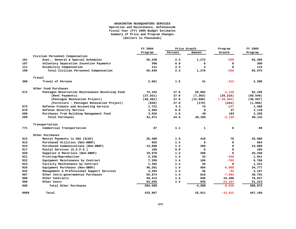#### **WASHINGTON HEADQUARTERS SERVICES Operation and Maintenance, Defensewide Fiscal Year (FY) 2005 Budget Estimates Summary of Price and Program Changes (Dollars in Thousands)**

|      |                                                 | FY 2004   |         | Price Growth | Program      | FY 2005   |
|------|-------------------------------------------------|-----------|---------|--------------|--------------|-----------|
|      |                                                 | Program   | Percent | Amount       | Growth       | Program   |
|      | Civilian Personnel Compensation                 |           |         |              |              |           |
| 101  | Exec., General & Special Schedules              | 55,238    | 2.3     | 1,272        | $-250$       | 56,260    |
| 107  | Voluntary Separation Incentive Payments         | 300       | 0.0     | 0            | 0            | 300       |
| 111  | Disability Compensation                         | 111       | 3.3     | 4            | 0            | 115       |
| 199  | Total Civilian Personnel Compensation           | 55,649    | 2.3     | 1,276        | $-250$       | 56,675    |
|      | Travel                                          |           |         |              |              |           |
| 308  | Travel of Persons                               | 2,661     | 1.5     | 41           | $-312$       | 2,390     |
|      | Other Fund Purchases                            |           |         |              |              |           |
| 672  | Pentagon Reservation Maintenance Revolving Fund | 74,242    | 27.0    | 20,082       | $-2,128$     | 92,196    |
|      | (Rent Payments)                                 | (27, 031) | 27.0    | (7, 303)     | (26, 215)    | (60, 549) |
|      | (Pentagon Renovation Project)                   | (46, 581) | 27.0    | (12,600)     | $(-28, 584)$ | (30, 597) |
|      | (Furniture - Pentagon Renovation Project)       | (630)     | 27.0    | (179)        | (241)        | (1,050)   |
| 673  | Defense Finance and Accounting Service          | 1,721     | 4.3     | 74           | $-227$       | 1,568     |
| 678  | Defense Security Service                        | 2,082     | 0.0     | 0            | 37           | 2,119     |
| 680  | Purchases from Building Management Fund         | 3,026     | 1.6     | 49           | 183          | 3,258     |
| 299  | Total Purchases                                 | 81,071    | 24.9    | 20,205       | $-2,135$     | 99,141    |
|      | Transportation                                  |           |         |              |              |           |
| 771  | Commercial Transportation                       | 87        | 1.1     | 1            | 0            | 88        |
|      | Other Purchases                                 |           |         |              |              |           |
| 912  | Rental Payments to GSA (SLUC)                   | 26,488    | 1.5     | 410          | 70           | 26,968    |
| 913  | Purchased Utilities (Non-DBOF)                  | 655       | 1.4     | 9            | $\mathbf 0$  | 664       |
| 914  | Purchased Communications (Non-DBOF)             | 13,808    | 1.4     | 200          | $\mathbf 0$  | 14,008    |
| 917  | Postal Services (U.S.P.S.)                      | 166       | 0.0     | 0            | 0            | 166       |
| 920  | Supplies & Materials (Non-DBOF)                 | 19,979    | 1.4     | 289          | $\Omega$     | 20,268    |
| 921  | Printing/Reproduction                           | 2,336     | 1.4     | 33           | $-428$       | 1,941     |
| 922  | Equipment Maintenance by Contract               | 7,359     | 1.4     | 106          | $-705$       | 6,760     |
| 923  | Facility Maintenance by Contract                | 1,392     | 1.4     | 20           | 0            | 1,412     |
| 925  | Equipment Purchases (Non-DBOF)                  | 40,281    | 1.4     | 584          | $-6,088$     | 34,777    |
| 932  | Management & Professional Support Services      | 3,203     | 1.4     | 46           | $-92$        | 3,157     |
| 987  | Other Intra-governmental Purchases              | 55,874    | 1.4     | 810          | $-7,893$     | 48,791    |
| 989  | Other Contracts                                 | 58,413    | 1.4     | 846          | 19,388       | 78,647    |
| 998  | Other Costs                                     | 64,545    | 1.4     | 935          | $-14, 167$   | 51,313    |
| 999  | Total Other Purchases                           | 294,499   |         | 4,288        | $-9,915$     | 288,872   |
| 9999 | Total                                           | 433,967   |         | 25,811       | $-12,612$    | 447,166   |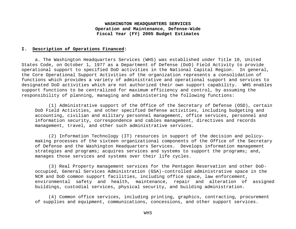#### **I. Description of Operations Financed:**

a. The Washington Headquarters Services (WHS) was established under Title 10, United States Code, on October 1, 1977 as a Department of Defense (DoD) Field Activity to provide operational support to specified DoD activities in the National Capital Region. In general, the Core Operational Support Activities of the organization represents a consolidation of functions which provides a variety of administrative and operational support and services to designated DoD activities which are not authorized their own support capability. WHS enables support functions to be centralized for maximum efficiency and control, by assuming the responsibility of planning, managing and administering the following functions:

(1) Administrative support of the Office of the Secretary of Defense (OSD), certain DoD Field Activities, and other specified Defense activities, including budgeting and accounting, civilian and military personnel management, office services, personnel and information security, correspondence and cables management, directives and records management, travel, and other such administrative services.

(2) Information Technology (IT) resources in support of the decision and policymaking processes of the sixteen organizational components of the Office of the Secretary of Defense and the Washington Headquarters Services. Develops information management strategies and programs; acquires services and systems to support the programs; and, manages those services and systems over their life cycles.

(3) Real Property management services for the Pentagon Reservation and other DoDoccupied, General Services Administration (GSA)-controlled administrative space in the NCR and DoD common support facilities, including office space, law enforcement, environmental safety and health, maintenance, repair and alteration of assigned buildings, custodial services, physical security, and building administration.

(4) Common office services, including printing, graphics, contracting, procurement of supplies and equipment, communications, concessions, and other support services.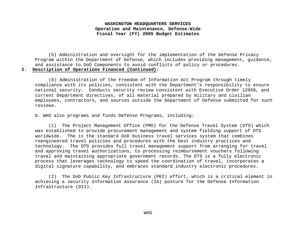(5) Administration and oversight for the implementation of the Defense Privacy Program within the Department of Defense, which includes providing management, guidance, and assistance to DoD Components to avoid conflicts of policy or procedures.

#### **I. Description of Operations Financed (Continued):**

(6) Administration of the Freedom of Information Act Program through timely compliance with its policies, consistent with the Department's responsibility to ensure national security. Conducts security review consistent with Executive Order 12958, and current Department directives, of all material prepared by military and civilian employees, contractors, and sources outside the Department of Defense submitted for such reviews.

b. WHS also programs and funds Defense Programs, including:

(1) The Project Management Office (PMO) for the Defense Travel System (DTS) which was established to provide procurement management and system fielding support of DTS worldwide. The is the standard DoD business travel services system that combines reengineered travel policies and procedures with the best industry practices and technology. The DTS provides full travel management support from arranging for travel and approving travel authorizations, to processing reimbursement vouchers following travel and maintaining appropriate government records. The DTS is a fully electronic process that leverages technology to speed the coordination of travel, incorporates a digital signature capability, and embraces standard industry electronic procedures.

(2) The DoD Public Key Infrastructure (PKI) effort, which is a critical element in achieving a security Information Assurance (IA) posture for the Defense Information Infrastructure (DII).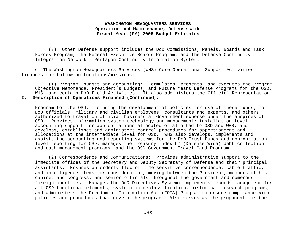(3) Other Defense support includes the DoD Commissions, Panels, Boards and Task Forces Program, the Federal Executive Boards Program, and the Defense Continuity Integration Network - Pentagon Continuity Information System.

c. The Washington Headquarters Services (WHS) Core Operational Support Activities finances the following functions/missions:

(1) Program, budget and accounting: Formulates, presents, and executes the Program Objective Memoranda, President's Budgets, and Future Years Defense Programs for the OSD, WHS, and certain DoD Field Activities. It also administers the Official Representation **I. Description of Operations Financed (Continued):**

Program for the OSD, including the development of policies for use of these funds; for DoD officials, military and civilian employees, consultants and experts, and others authorized to travel on official business at Government expense under the auspices of OSD. Provides information system technology and management; installation level accounting support for appropriations allocated or allotted to OSD and WHS; and develops, establishes and administers control procedures for apportionment and allocations at the intermediate level for OSD. WHS also develops, implements and assists the accounting and reporting systems for the DoD Trust Funds and appropriation level reporting for OSD; manages the Treasury Index 97 (Defense-Wide) debt collection and cash management programs, and the OSD Government Travel Card Program.

(2) Correspondence and Communications: Provides administrative support to the immediate offices of the Secretary and Deputy Secretary of Defense and their principal assistants. Ensures an orderly flow of time-sensitive correspondence, cable traffic, and intelligence items for consideration, moving between the President, members of his cabinet and congress, and senior officials throughout the government and numerous foreign countries. Manages the DoD Directives System; implements records management for all OSD functional elements, systematic declassification, historical research programs, and administers the Freedom of Information Act (FOIA) Program to ensure compliance with policies and procedures that govern the program. Also serves as the proponent for the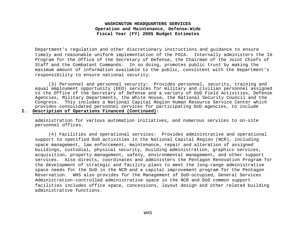Department's regulation and other discretionary instructions and guidance to ensure timely and reasonable uniform implementation of the FOIA. Internally administers the IA Program for the Office of the Secretary of Defense, the Chairman of the Joint Chiefs of Staff and the Combatant Commands. In so doing, promotes public trust by making the maximum amount of information available to the public, consistent with the Department's responsibility to ensure national security.

(3) Personnel and personnel security: Provides personnel, security, training and equal employment opportunity (EEO) services for military and civilian personnel assigned to the Office of the Secretary of Defense and a variety of DoD Field Activities, Defense Agencies, Military Departments, the White House, the National Security Council and the Congress. This includes a National Capital Region Human Resource Service Center which provides consolidated personnel services for participating DoD agencies, to include **I. Description of Operations Financed (Continued):**

administration for various automation initiatives, and numerous services to on-site personnel offices.

(4) Facilities and operational services: Provides administrative and operational support to specified DoD activities in the National Capital Region (NCR), including space management, law enforcement, maintenance, repair and alteration of assigned buildings, custodial, physical security, building administration, graphics services, acquisition, property management, safety, environmental management, and other support services. Also directs, coordinates and administers the Pentagon Renovation Program for the development of strategic and facility plans to meet the long-range administrative space needs for the DoD in the NCR and a capital improvement program for the Pentagon Reservation. WHS also provides for the Management of DoD-occupied, General Services Administration-controlled administrative space in the NCR and DoD common support facilities includes office space, concessions, layout design and other related building administrative functions.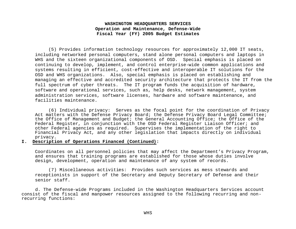(5) Provides information technology resources for approximately 12,000 IT seats, including networked personal computers, stand alone personal computers and laptops in WHS and the sixteen organizational components of OSD. Special emphasis is placed on continuing to develop, implement, and control enterprise-wide common applications and systems resulting in efficient, cost-effective and interoperable IT solutions for the OSD and WHS organizations. Also, special emphasis is placed on establishing and managing an effective and accredited security architecture that protects the IT from the full spectrum of cyber threats. The IT program funds the acquisition of hardware, software and operational services, such as, help desks, network management, system administration services, software licenses, hardware and software maintenance, and facilities maintenance.

(6) Individual privacy: Serves as the focal point for the coordination of Privacy Act matters with the Defense Privacy Board; the Defense Privacy Board Legal Committee; the Office of Management and Budget; the General Accounting Office; the Office of the Federal Register, in conjunction with the OSD Federal Register Liaison Officer; and other Federal agencies as required. Supervises the implementation of the right to Financial Privacy Act, and any other legislation that impacts directly on individual privacy.

**I. Description of Operations Financed (Continued):**

Coordinates on all personnel policies that may affect the Department's Privacy Program, and ensures that training programs are established for those whose duties involve design, development, operation and maintenance of any system of records.

(7) Miscellaneous activities: Provides such services as mess stewards and receptionists in support of the Secretary and Deputy Secretary of Defense and their senior staff.

 d. The Defense-wide Programs included in the Washington Headquarters Services account consist of the fiscal and manpower resources assigned to the following recurring and nonrecurring functions: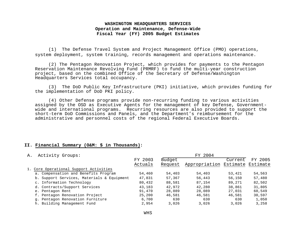(1) The Defense Travel System and Project Management Office (PMO) operations, system deployment, system training, records management and operations maintenance.

(2) The Pentagon Renovation Project, which provides for payments to the Pentagon Reservation Maintenance Revolving Fund (PRMRF) to fund the multi-year construction project, based on the combined Office of the Secretary of Defense/Washington Headquarters Services total occupancy.

(3) The DoD Public Key Infrastructure (PKI) initiative, which provides funding for the implementation of DoD PKI policy.

(4) Other Defense programs provide non-recurring funding to various activities assigned by the OSD as Executive Agents for the management of key Defense, Governmentwide and international programs. Recurring resources are also provided to support the short-term DoD Commissions and Panels, and the Department's reimbursement for the administrative and personnel costs of the regional Federal Executive Boards.

#### **II. Financial Summary (O&M: \$ in Thousands):**

| Activity Groups:<br>Α.                     |         |         |                                 |         |         |
|--------------------------------------------|---------|---------|---------------------------------|---------|---------|
|                                            | FY 2003 | Budget  |                                 | Current | FY 2005 |
|                                            | Actuals | Request | Appropriation Estimate Estimate |         |         |
| 1. Core Operational Support Activities     |         |         |                                 |         |         |
| a. Compensation and Benefits Program       | 54,460  | 54,403  | 54,403                          | 53,421  | 54,563  |
| b. Support Services, Materials & Equipment | 47,831  | 57,367  | 56,443                          | 56,150  | 57,480  |
| c. Information Technology                  | 80,432  | 88,581  | 87,154                          | 89,271  | 82,502  |
| d. Contracts/Support Services              | 43,183  | 42,972  | 42,280                          | 38,861  | 31,805  |
| e. Pentagon Rent                           | 91,470  | 28,089  | 28,089                          | 27,031  | 60,549  |
| f. Pentagon Renovation Project             | 25,200  | 46,581  | 46,581                          | 46,581  | 30,597  |
| q. Pentagon Renovation Furniture           | 6,700   | 630     | 630                             | 630     | 1,050   |
| h. Building Management Fund                | 2,954   | 3,026   | 3,026                           | 3.026   | 3,258   |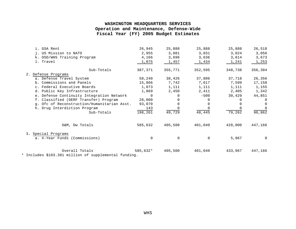| i. GSA Rent                                                                                                              | 26,945      | 25,888   | 25,888      | 25,888  | 26,518       |
|--------------------------------------------------------------------------------------------------------------------------|-------------|----------|-------------|---------|--------------|
| j. US Mission to NATO                                                                                                    | 2,955       | 3,081    | 3,031       | 3,024   | 3,056        |
| k. OSD/WHS Training Program                                                                                              | 4,166       | 3,696    | 3,636       | 3,614   | 3,673        |
| 1. Travel                                                                                                                | 1,075       | 1,457    | 1,434       | 1,241   | 1,253        |
| Sub-Totals                                                                                                               | 387,371     | 355,771  | 352,595     | 348,738 | 356,304      |
| 2. Defense Programs                                                                                                      |             |          |             |         |              |
| a. Defense Travel System                                                                                                 | 58,240      | 38,426   | 37,806      | 37,718  | 26,356       |
| b. Commissions and Panels                                                                                                | 15,866      | 7,742    | 7,617       | 7,599   | 17,158       |
| c. Federal Executive Boards                                                                                              | 1,073       | 1,111    | 1,111       | 1,111   | 1,155        |
| d. Public Key Infrastructure                                                                                             | 1,869       | 2,450    | 2,411       | 2,405   | 1,342        |
| e. Defense Continuity Integration Network                                                                                | $\Omega$    | $\Omega$ | $-500$      | 30,429  | 44,851       |
| f. Classified (DERF Transfer) Program                                                                                    | 28,000      | 0        |             |         | 0            |
| g. Ofc of Reconstruction/Humanitarian Asst.                                                                              | 93,070      | $\Omega$ |             |         | $\mathbf{0}$ |
| h. Drug Interdiction Program                                                                                             | 143         |          |             |         | 0            |
| Sub-Totals                                                                                                               | 198,261     | 49,729   | 48,445      | 79,262  | 90,862       |
| O&M, Dw Totals                                                                                                           | 585,632     | 405,500  | 401,040     | 428,000 | 447,166      |
| 3. Special Programs<br>a. X-Year Funds (Commissions)                                                                     | $\mathbf 0$ | 0        | $\mathbf 0$ | 5,967   | $\mathbf 0$  |
|                                                                                                                          |             |          |             |         |              |
| Overall Totals<br>$\bullet$ $\pm$ . The final decoderation of the second contract $\epsilon$ . The final decoderation of | 585,632*    | 405,500  | 401,040     | 433,967 | 447,166      |

\* Includes \$103.381 million of supplemental funding.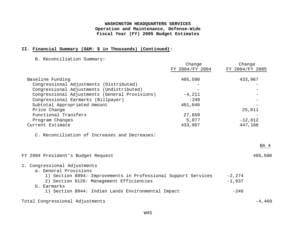#### **II. Financial Summary (O&M: \$ in Thousands) (Continued):**

B. Reconciliation Summary:

|                                                                | Change          | Change          |
|----------------------------------------------------------------|-----------------|-----------------|
|                                                                | FY 2004/FY 2004 | FY 2004/FY 2005 |
| Baseline Funding                                               | 405,500         | 433,967         |
| Congressional Adjustments (Distributed)                        |                 |                 |
| Congressional Adjustments (Undistributed)                      |                 |                 |
| Congressional Adjustments (General Provisions)                 | $-4, 211$       |                 |
| Congressional Earmarks (Billpayer)                             | $-249$          |                 |
| Subtotal Appropriated Amount                                   | 401,040         |                 |
| Price Change                                                   |                 | 25,811          |
| Functional Transfers                                           | 27,850          |                 |
| Program Changes                                                | 5,077           | $-12,612$       |
| Current Estimate                                               | 433,967         | 447,166         |
| C. Reconciliation of Increases and Decreases:                  |                 | BA 4            |
| FY 2004 President's Budget Request                             |                 | 405,500         |
| 1. Congressional Adjustments<br>a. General Provisions          |                 |                 |
| 1) Section 8094: Improvements in Professional Support Services |                 | $-2, 274$       |
| 2) Section 8126: Management Efficiencies                       |                 | $-1,937$        |
| b. Earmarks                                                    |                 |                 |
| 1) Section 8044: Indian Lands Environmental Impact             |                 | $-249$          |
| Total Congressional Adjustments                                |                 | $-4,460$        |
|                                                                |                 |                 |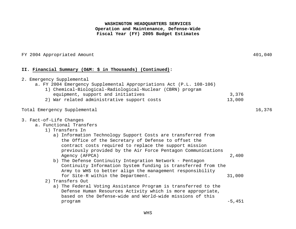#### FY 2004 Appropriated Amount  $401,040$

#### **II. Financial Summary (O&M: \$ in Thousands) (Continued):**

|  |  | 2. Emergency Supplemental |  |
|--|--|---------------------------|--|
|--|--|---------------------------|--|

- a. FY 2004 Emergency Supplemental Appropriations Act (P.L. 108-106)
	- 1) Chemical-Biological-Radiological-Nuclear (CBRN) program equipment, support and initiatives and initiatives and initiatives and initiative state of  $3,376$
	- 2) War related administrative support costs 13,000

#### Total Emergency Supplemental 16,376

#### 3. Fact-of-Life Changes

- a. Functional Transfers
	- 1) Transfers In
		- a) Information Technology Support Costs are transferred from the Office of the Secretary of Defense to offset the contract costs required to replace the support mission previously provided by the Air Force Pentagon Communications Agency (AFPCA) 2,400
		- b) The Defense Continuity Integration Network Pentagon Continuity Information System funding is transferred from the Army to WHS to better align the management responsibility for Site-R within the Department. 31,000
	- 2) Transfers Out
	- a) The Federal Voting Assistance Program is transferred to the Defense Human Resources Activity which is more appropriate, based on the Defense-wide and World-wide missions of this program  $-5,451$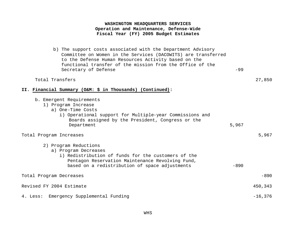b) The support costs associated with the Department Advisory Committee on Women in the Services (DACOWITS) are transferred to the Defense Human Resources Activity based on the functional transfer of the mission from the Office of the Secretary of Defense  $-99$ 

#### Total Transfers 27,850

#### **II. Financial Summary (O&M: \$ in Thousands) (Continued):**

| b. Emergent Requirements<br>1) Program Increase<br>a) One-Time Costs<br>i) Operational support for Multiple-year Commissions and<br>Boards assigned by the President, Congress or the<br>Department        | 5,967  |           |
|------------------------------------------------------------------------------------------------------------------------------------------------------------------------------------------------------------|--------|-----------|
| Total Program Increases                                                                                                                                                                                    |        | 5,967     |
| 2) Program Reductions<br>a) Program Decreases<br>i) Redistribution of funds for the customers of the<br>Pentagon Reservation Maintenance Revolving Fund,<br>based on a redistribution of space adjustments | $-890$ |           |
| Total Program Decreases                                                                                                                                                                                    |        | $-890$    |
| Revised FY 2004 Estimate                                                                                                                                                                                   |        | 450,343   |
| 4. Less: Emergency Supplemental Funding                                                                                                                                                                    |        | $-16,376$ |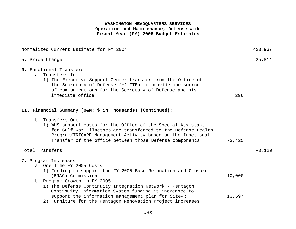| Normalized Current Estimate for FY 2004                                                                                                                                                                                                                                    |          | 433,967  |
|----------------------------------------------------------------------------------------------------------------------------------------------------------------------------------------------------------------------------------------------------------------------------|----------|----------|
| 5. Price Change                                                                                                                                                                                                                                                            |          | 25,811   |
| 6. Functional Transfers<br>a. Transfers In<br>1) The Executive Support Center transfer from the Office of<br>the Secretary of Defense (+2 FTE) to provide one source<br>of communications for the Secretary of Defense and his<br>immediate office                         | 296      |          |
| II. Financial Summary (O&M: \$ in Thousands) (Continued):                                                                                                                                                                                                                  |          |          |
| b. Transfers Out<br>1) WHS support costs for the Office of the Special Assistant<br>for Gulf War Illnesses are transferred to the Defense Health<br>Program/TRICARE Management Activity based on the functional<br>Transfer of the office between those Defense components | $-3,425$ |          |
| Total Transfers                                                                                                                                                                                                                                                            |          | $-3,129$ |
| 7. Program Increases<br>a. One-Time FY 2005 Costs<br>1) Funding to support the FY 2005 Base Relocation and Closure<br>(BRAC) Commission                                                                                                                                    | 10,000   |          |
| b. Program Growth in FY 2005<br>1) The Defense Continuity Integration Network - Pentagon<br>Continuity Information System funding is increased to                                                                                                                          |          |          |
| support the information management plan for Site-R<br>2) Furniture for the Pentagon Renovation Project increases                                                                                                                                                           | 13,597   |          |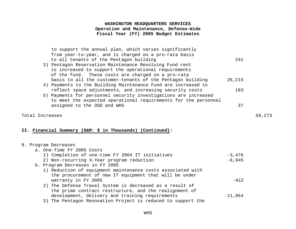| to support the annual plan, which varies significantly<br>from year-to-year, and is charged on a pro-rata basis<br>to all tenants of the Pentagon building<br>3) Pentagon Reservation Maintenance Revolving Fund rent<br>is increased to support the operational requirements<br>of the fund. These costs are charged on a pro-rata | 2.41   |
|-------------------------------------------------------------------------------------------------------------------------------------------------------------------------------------------------------------------------------------------------------------------------------------------------------------------------------------|--------|
| basis to all the customer-tenants of the Pentagon building                                                                                                                                                                                                                                                                          | 26,215 |
| 4) Payments to the Building Maintenance Fund are increased to                                                                                                                                                                                                                                                                       |        |
| reflect space adjustments, and increasing security costs                                                                                                                                                                                                                                                                            | 183    |
| 5) Payments for personnel security investigations are increased                                                                                                                                                                                                                                                                     |        |
| to meet the expected operational requirements for the personnel                                                                                                                                                                                                                                                                     |        |
| assigned to the OSD and WHS                                                                                                                                                                                                                                                                                                         | 37     |
|                                                                                                                                                                                                                                                                                                                                     |        |

#### Total Increases 50,273

#### **II. Financial Summary (O&M: \$ in Thousands) (Continued):**

#### 8. Program Decreases

| a. One-Time FY 2005 Costs                                    |           |  |
|--------------------------------------------------------------|-----------|--|
| 1) Completion of one-time FY 2004 IT initiatives             | $-3,476$  |  |
| 2) Non-recurring X-Year program reduction                    | $-6,045$  |  |
| b. Program Decreases in FY 2005                              |           |  |
| 1) Reduction of equipment maintenance costs associated with  |           |  |
| the procurement of new IT equipment that will be under       |           |  |
| warranty in FY 2005                                          | $-612$    |  |
| 2) The Defense Travel System is decreased as a result of     |           |  |
| the prime contract restructure, and the realignment of       |           |  |
| development, delivery and training requirements              | $-11,854$ |  |
| 3) The Pentagon Renovation Project is reduced to support the |           |  |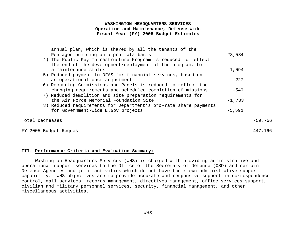|                 | annual plan, which is shared by all the tenants of the           |           |         |
|-----------------|------------------------------------------------------------------|-----------|---------|
|                 | Pentagon building on a pro-rata basis                            | $-28,584$ |         |
|                 | 4) The Public Key Infrastructure Program is reduced to reflect   |           |         |
|                 | the end of the development/deployment of the program, to         |           |         |
|                 | a maintenance status                                             | $-1,094$  |         |
|                 | 5) Reduced payment to DFAS for financial services, based on      |           |         |
|                 | an operational cost adjustment                                   | $-227$    |         |
|                 | 6) Recurring Commissions and Panels is reduced to reflect the    |           |         |
|                 | changing requirements and scheduled completion of missions       | $-540$    |         |
|                 | 7) Reduced demolition and site preparation requirements for      |           |         |
|                 | the Air Force Memorial Foundation Site                           | $-1,733$  |         |
|                 | 8) Reduced requirements for Department's pro-rata share payments |           |         |
|                 | for Government-wide E.Gov projects                               | $-5,591$  |         |
|                 |                                                                  |           |         |
| Total Decreases |                                                                  |           | -59,756 |
|                 |                                                                  |           |         |

#### FY 2005 Budget Request 447,166

#### **III. Performance Criteria and Evaluation Summary:**

Washington Headquarters Services (WHS) is charged with providing administrative and operational support services to the Office of the Secretary of Defense (OSD) and certain Defense Agencies and joint activities which do not have their own administrative support capability. WHS objectives are to provide accurate and responsive support in correspondence control, mail services, records management, directives management, office services support, civilian and military personnel services, security, financial management, and other miscellaneous activities.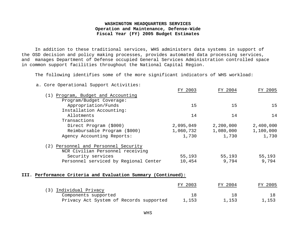In addition to these traditional services, WHS administers data systems in support of the OSD decision and policy making processes, provides automated data processing services, and manages Department of Defense occupied General Services Administration controlled space in common support facilities throughout the National Capital Region.

The following identifies some of the more significant indicators of WHS workload:

#### a. Core Operational Support Activities:

|                                                               | FY 2003   | FY 2004   | FY 2005   |
|---------------------------------------------------------------|-----------|-----------|-----------|
| (1) Program, Budget and Accounting                            |           |           |           |
| Program/Budget Coverage:                                      |           |           |           |
| Appropriation/Funds                                           | 15        | 15        | 15        |
| Installation Accounting:                                      |           |           |           |
| Allotments                                                    | 14        | 14        | 14        |
| Transactions                                                  |           |           |           |
| Direct Program (\$000)                                        | 2,095,049 | 2,200,000 | 2,400,000 |
| Reimbursable Program (\$000)                                  | 1,060,732 | 1,080,000 | 1,100,000 |
| Agency Accounting Reports:                                    | 1,730     | 1,730     | 1,730     |
| (2) Personnel and Personnel Security                          |           |           |           |
| NCR Civilian Personnel receiving                              |           |           |           |
| Security services                                             | 55,193    | 55,193    | 55,193    |
| Personnel serviced by Regional Center                         | 10,454    | 9,794     | 9,794     |
| III. Performance Criteria and Evaluation Summary (Continued): |           |           |           |
|                                                               | FY 2003   | FY 2004   | FY 2005   |
| (3) Individual Privacy                                        |           |           |           |
| $Commonant$ $g$ $unnext$                                      | 1 Q       | 1 Q       | 1 Q       |

| Components supported                    |       |       |       |
|-----------------------------------------|-------|-------|-------|
| Privacy Act System of Records supported | 1,153 | 1,153 | 1,153 |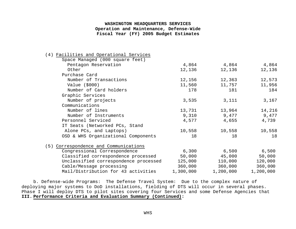| (4) Facilities and Operational Services |           |           |           |
|-----------------------------------------|-----------|-----------|-----------|
| Space Managed (000 square feet)         |           |           |           |
| Pentagon Reservation                    | 4,864     | 4,864     | 4,864     |
| Other                                   | 12,136    | 12,136    | 12,136    |
| Purchase Card                           |           |           |           |
| Number of Transactions                  | 12,156    | 12,363    | 12,573    |
| Value $(5000)$                          | 11,560    | 11,757    | 11,956    |
| Number of Card holders                  | 178       | 181       | 184       |
| Graphic Services                        |           |           |           |
| Number of projects                      | 3,535     | 3,111     | 3,167     |
| Communications                          |           |           |           |
| Number of lines                         | 13,731    | 13,964    | 14,216    |
| Number of Instruments                   | 9,310     | 9,477     | 9,477     |
| Personnel Serviced                      | 4,577     | 4,655     | 4,739     |
| IT Seats (Networked PCs, Stand          |           |           |           |
| Alone PCs, and Laptops)                 | 10,558    | 10,558    | 10,558    |
| OSD & WHS Organizational Components     | 18        | 18        | 18        |
| (5) Correspondence and Communications   |           |           |           |
| Congressional Correspondence            | 6,300     | 6,500     | 6,500     |
| Classified correspondence processed     | 50,000    | 45,000    | 50,000    |
| Unclassified correspondence processed   | 125,000   | 110,000   | 120,000   |
| Cable/Message processing                | 360,000   | 360,000   | 360,000   |
| Mail/Distribution for 43 activities     | 1,300,000 | 1,200,000 | 1,200,000 |

b. Defense-wide Programs: The Defense Travel System: Due to the complex nature of deploying major systems to DoD installations, fielding of DTS will occur in several phases. Phase I will deploy DTS to pilot sites covering four Services and some Defense Agencies that **III. Performance Criteria and Evaluation Summary (Continued):**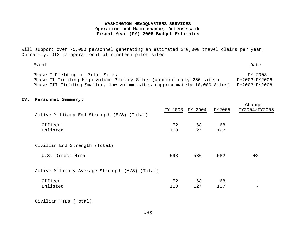will support over 75,000 personnel generating an estimated 240,000 travel claims per year. Currently, DTS is operational at nineteen pilot sites.

#### Event Date

Change

| Phase I Fielding of Pilot Sites                                                         | FY 2003       |
|-----------------------------------------------------------------------------------------|---------------|
| Phase II Fielding-High Volume Primary Sites (approximately 250 sites)                   | FY2003-FY2006 |
| Phase III Fielding-Smaller, low volume sites (approximately 10,000 Sites) FY2003-FY2006 |               |

#### **IV. Personnel Summary:**

|                                                | FY 2003 | FY 2004 | FY2005 | --------<br>FY2004/FY2005 |
|------------------------------------------------|---------|---------|--------|---------------------------|
| Active Military End Strength (E/S)<br>(Total)  |         |         |        |                           |
| Officer                                        | 52      | 68      | 68     |                           |
| Enlisted                                       | 110     | 127     | 127    | $\overline{\phantom{0}}$  |
| Civilian End Strength (Total)                  |         |         |        |                           |
| U.S. Direct Hire                               | 593     | 580     | 582    | $+2$                      |
| Active Military Average Strength (A/S) (Total) |         |         |        |                           |
| Officer                                        | 52      | 68      | 68     | $\overline{\phantom{m}}$  |
| Enlisted                                       | 110     | 127     | 127    |                           |

Civilian FTEs (Total)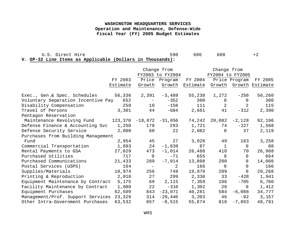U.S. Direct Hire 608 +2

**V. OP-32 Line Items as Applicable (Dollars in Thousands):**

|                                           |          | Change from              |                     |                  | Change from    |                 |                        |
|-------------------------------------------|----------|--------------------------|---------------------|------------------|----------------|-----------------|------------------------|
|                                           |          | FY2003 to FY2004         |                     | FY2004 to FY2005 |                |                 |                        |
|                                           | FY 2003  |                          | Price Program       | FY 2004          |                | Price Program   | FY 2005                |
|                                           | Estimate | Growth                   | Growth              | Estimate         |                |                 | Growth Growth Estimate |
| Exec., Gen.& Spec. Schedules              | 56,336   | 2,391                    | -3,489              | 55,238           | 1,272          | $-250$          | 56,260                 |
| Voluntary Separation Incentive Pay<br>652 |          | $\sim$ $-$               | $-352$              | 300              | $\overline{0}$ | $\Omega$        | 300                    |
| Disability Compensation                   | 259      | 10 <sub>1</sub>          | $-158$              | 111              | 2              | 2               | 115                    |
| Travel of Persons                         | 3,301    | 44                       | $-684$              | 2,661            | 41             | $-312$          | 2,390                  |
| Pentagon Reservation                      |          |                          |                     |                  |                |                 |                        |
| Maintenance Revolving Fund 123,370        |          |                          | $-18,072$ $-31,056$ | 74,242           |                | $20,082 -2,128$ | 92,196                 |
| Defense Finance & Accounting Svc          | 1,250    | 178                      | 293                 | 1,721            | 74             | $-227$          | 1,568                  |
| Defense Security Service                  | 2,000    | 60                       | 22                  | 2,082            | $\mathbf 0$    | 37              | 2,119                  |
| Purchases from Building Management        |          |                          |                     |                  |                |                 |                        |
| Fund                                      | 2,954    |                          | 45 27               | 3,026            | 49             | 183             | 3,258                  |
| Commercial Transportation                 | 1,893    | 24                       | $-1,830$            | 87               | $\mathbf{1}$   | $\Omega$        | 88                     |
| Rental Payments to GSA                    | 27,029   | 473                      | $-1,014$            | 26,488           | 410            | 70              | 26,968                 |
| Purchased Utilities                       | 717      | 9                        | $-71$               | 655              | 9              | $\Omega$        | 664                    |
| Purchased Communications                  | 21,433   | 289                      | $-7,914$            | 13,808           | 200            | $\overline{0}$  | 14,008                 |
| Postal Services (USPS)                    | 164      | $\overline{\phantom{0}}$ | 2                   | 166              | $\mathbf 0$    | $\overline{0}$  | 166                    |
| Supplies/Materials                        | 18,974   | 256                      | 749                 | 19,979           | 289            | $\Omega$        | 20,268                 |
| Printing & Reproduction                   | 2,010    | 27                       | 299                 | 2,336            | 33             | $-428$          | 1,941                  |
| Equipment Maintenance by Contract         | 5,175    | 69                       | 2,115               | 7,359            | 106            | $-705$          | 6,760                  |
| Facility Maintenance by Contract          | 1,680    | 22                       | $-310$              | 1,392            | 20             | $\overline{0}$  | 1,412                  |
| Equipment Purchases                       | 62,509   |                          | 843 -23,071         | 40,281           | 584            | $-6,088$        | 34,777                 |
| Management/Prof. Support Services         | 23,329   | 314                      | $-20,440$           | 3,203            | 46             | $-92$           | 3,157                  |
| Other Intra-Government Purchases          | 63,532   | 857                      | $-8,515$            | 55,874           | 810            | $-7,893$        | 48,791                 |